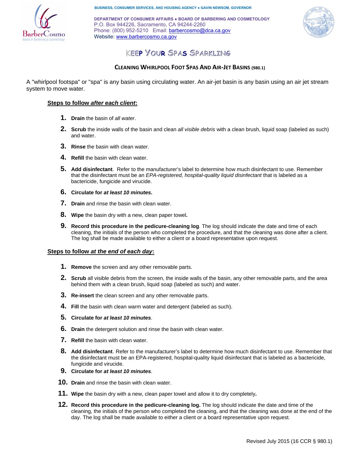

**BUSINESS, CONSUMER SERVICES, AND HOUSING AGENCY ● GAVIN NEWSOM, GOVERNOR** 

**DEPARTMENT OF CONSUMER AFFAIRS ● BOARD OF BARBERING AND COSMETOLOGY** P.O. Box 944226, Sacramento, CA 94244-2260 Phone: (800) 952-5210 Email: barbercosmo@dca.ca.gov Website: www.barbercosmo.ca.gov



# **KEEP YOUR SPAS SPARKLING**

## **CLEANING WHIRLPOOL FOOT SPAS AND AIR‐JET BASINS (980.1)**

A "whirlpool footspa" or "spa" is any basin using circulating water. An air-jet basin is any basin using an air jet stream system to move water.

### **Steps to follow** *after each client***:**

- **1. Drain** the basin of *all water*.
- **2. Scrub** the inside walls of the basin and clean *all visible debris* with a clean brush, liquid soap (labeled as such) and water.
- **3. Rinse** the basin with clean water.
- **4. Refill** the basin with clean water.
- **5. Add disinfectant**. Refer to the manufacturer's label to determine how much disinfectant to use. Remember that the disinfectant must be an *EPA-registered, hospital-quality liquid disinfectant* that is labeled as a bactericide, fungicide and virucide.
- **6. Circulate for** *at least 10 minutes***.**
- **7. Drain** and rinse the basin with clean water.
- **8. Wipe** the basin dry with a new, clean paper towel**.**
- **9. Record this procedure in the pedicure-cleaning log**. The log should indicate the date and time of each cleaning, the initials of the person who completed the procedure, and that the cleaning was done after a client. The log shall be made available to either a client or a board representative upon request.

#### **Steps to follow** *at the end of each day***:**

- **1. Remove** the screen and any other removable parts.
- **2. Scrub** all visible debris from the screen, the inside walls of the basin, any other removable parts, and the area behind them with a clean brush, liquid soap (labeled as such) and water.
- **3. Re-insert** the clean screen and any other removable parts.
- **4. Fill** the basin with clean warm water and detergent (labeled as such).
- **5. Circulate for** *at least 10 minutes*.
- **6. Drain** the detergent solution and rinse the basin with clean water.
- **7. Refill** the basin with clean water.
- **8. Add disinfectant**. Refer to the manufacturer's label to determine how much disinfectant to use. Remember that the disinfectant must be an EPA-registered, hospital-quality liquid disinfectant that is labeled as a bactericide, fungicide and virucide.
- **9. Circulate for** *at least 10 minutes*.
- **10. Drain** and rinse the basin with clean water.
- **11. Wipe** the basin dry with a new, clean paper towel and allow it to dry completely**.**
- **12. Record this procedure in the pedicure-cleaning log.** The log should indicate the date and time of the cleaning, the initials of the person who completed the cleaning, and that the cleaning was done at the end of the day. The log shall be made available to either a client or a board representative upon request.